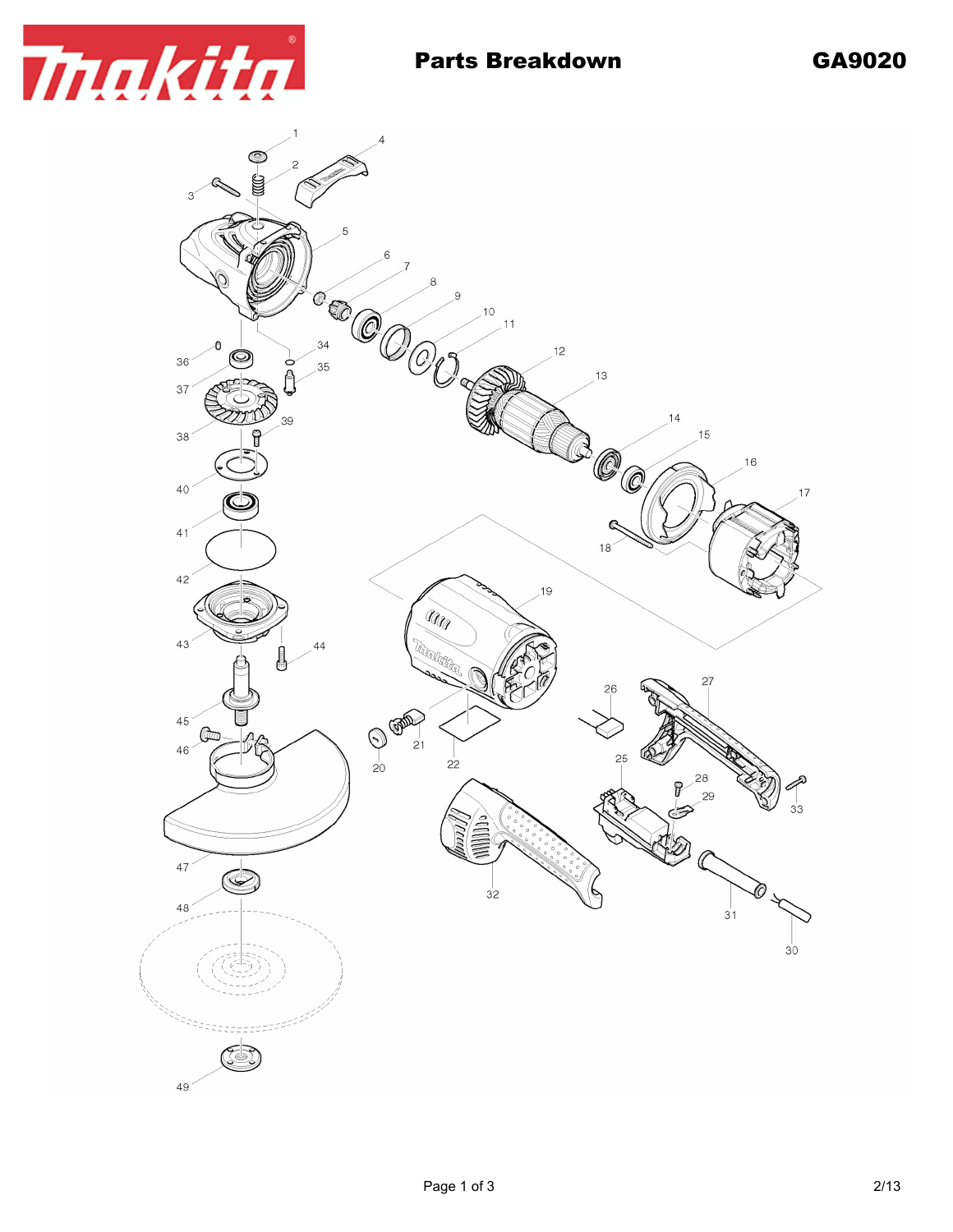

49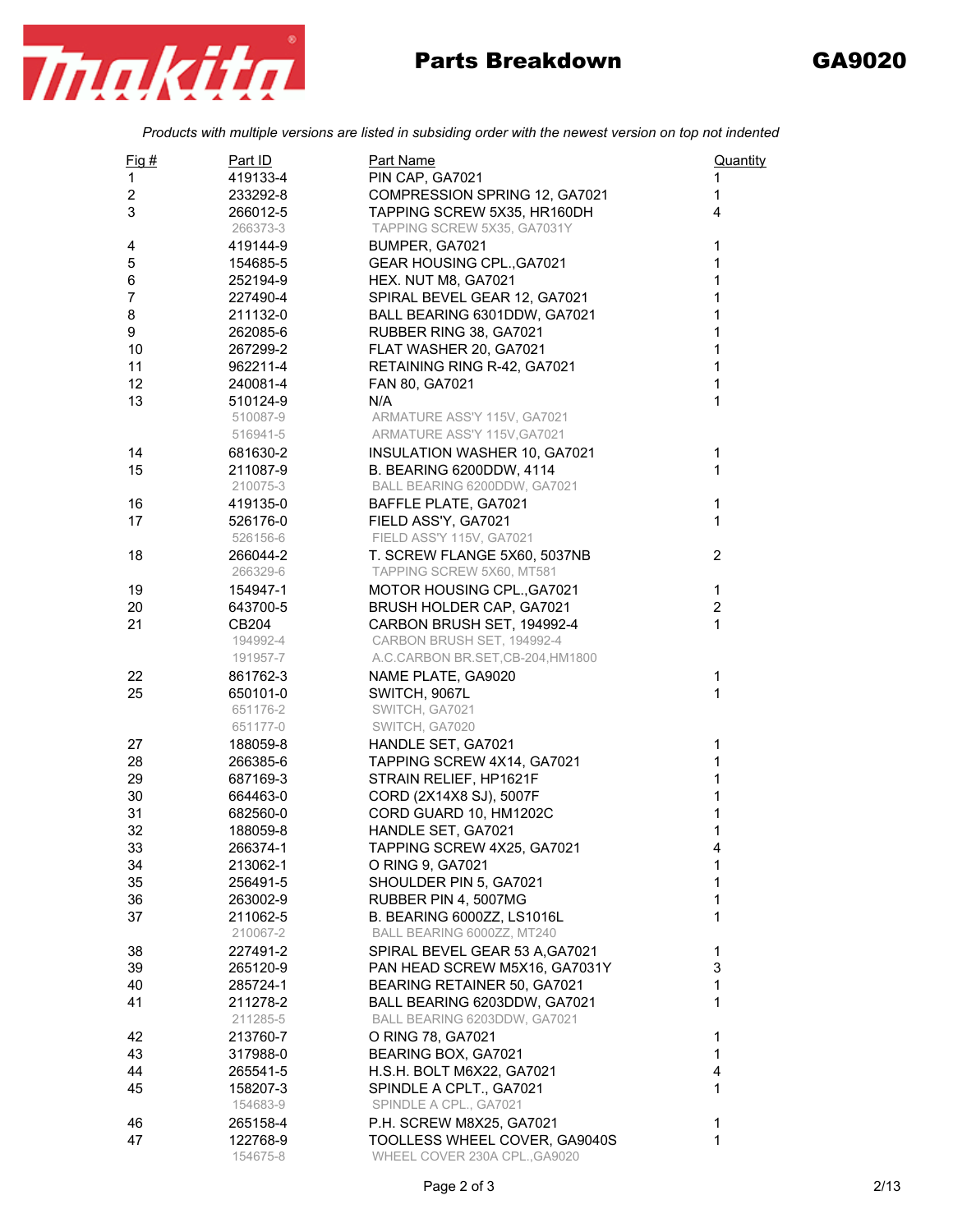*Products with multiple versions are listed in subsiding order with the newest version on top not indented*

| $Fig. \#$      | Part ID              | Part Name                                              | Quantity       |
|----------------|----------------------|--------------------------------------------------------|----------------|
| 1              | 419133-4             | PIN CAP, GA7021                                        | 1              |
| $\overline{2}$ | 233292-8             | COMPRESSION SPRING 12, GA7021                          | $\mathbf{1}$   |
| 3              | 266012-5             | TAPPING SCREW 5X35, HR160DH                            | 4              |
|                | 266373-3             | TAPPING SCREW 5X35, GA7031Y                            |                |
| 4              | 419144-9             | BUMPER, GA7021                                         | 1              |
| 5              | 154685-5             | <b>GEAR HOUSING CPL., GA7021</b>                       | 1              |
| 6              | 252194-9             | HEX. NUT M8, GA7021                                    | 1              |
| 7              | 227490-4             | SPIRAL BEVEL GEAR 12, GA7021                           | 1              |
| 8              | 211132-0             | BALL BEARING 6301DDW, GA7021                           | 1              |
| 9              | 262085-6             | RUBBER RING 38, GA7021                                 | 1              |
| 10             | 267299-2             | FLAT WASHER 20, GA7021                                 | 1              |
| 11             | 962211-4             | RETAINING RING R-42, GA7021                            | 1              |
| 12             | 240081-4             | FAN 80, GA7021                                         | 1              |
| 13             | 510124-9             | N/A                                                    | 1              |
|                | 510087-9             | ARMATURE ASS'Y 115V, GA7021                            |                |
|                | 516941-5             | ARMATURE ASS'Y 115V, GA7021                            |                |
| 14             | 681630-2             | <b>INSULATION WASHER 10, GA7021</b>                    | $\mathbf{1}$   |
| 15             | 211087-9             | B. BEARING 6200DDW, 4114                               | 1              |
|                | 210075-3             | BALL BEARING 6200DDW, GA7021                           |                |
| 16             | 419135-0             | BAFFLE PLATE, GA7021                                   | $\mathbf{1}$   |
| 17             | 526176-0             | FIELD ASS'Y, GA7021                                    | 1              |
|                | 526156-6             | FIELD ASS'Y 115V, GA7021                               |                |
| 18             | 266044-2             | T. SCREW FLANGE 5X60, 5037NB                           | 2              |
|                | 266329-6             | TAPPING SCREW 5X60, MT581                              |                |
| 19             |                      |                                                        | $\mathbf 1$    |
| 20             | 154947-1<br>643700-5 | MOTOR HOUSING CPL., GA7021<br>BRUSH HOLDER CAP, GA7021 | $\overline{2}$ |
| 21             | CB204                | CARBON BRUSH SET, 194992-4                             | 1              |
|                | 194992-4             | CARBON BRUSH SET, 194992-4                             |                |
|                |                      | A.C.CARBON BR.SET, CB-204, HM1800                      |                |
|                | 191957-7             |                                                        |                |
| 22             | 861762-3             | NAME PLATE, GA9020                                     | 1              |
| 25             | 650101-0             | SWITCH, 9067L                                          | 1              |
|                | 651176-2             | SWITCH, GA7021                                         |                |
|                | 651177-0             | SWITCH, GA7020                                         |                |
| 27             | 188059-8             | HANDLE SET, GA7021                                     | 1              |
| 28             | 266385-6             | TAPPING SCREW 4X14, GA7021                             | 1              |
| 29             | 687169-3             | STRAIN RELIEF, HP1621F                                 | 1              |
| 30             | 664463-0             | CORD (2X14X8 SJ), 5007F                                | 1              |
| 31             | 682560-0             | CORD GUARD 10, HM1202C                                 | 1              |
| 32             | 188059-8             | HANDLE SET, GA7021                                     | 1              |
| 33             | 266374-1             | TAPPING SCREW 4X25, GA7021                             | 4              |
| 34             | 213062-1             | O RING 9, GA7021                                       | 1              |
| 35             | 256491-5             | SHOULDER PIN 5, GA7021                                 | 1              |
| 36             | 263002-9             | RUBBER PIN 4, 5007MG                                   | 1              |
| 37             | 211062-5             | <b>B. BEARING 6000ZZ, LS1016L</b>                      | 1              |
|                | 210067-2             | BALL BEARING 6000ZZ, MT240                             |                |
| 38             | 227491-2             | SPIRAL BEVEL GEAR 53 A, GA7021                         | 1              |
| 39             | 265120-9             | PAN HEAD SCREW M5X16, GA7031Y                          | 3              |
| 40             | 285724-1             | BEARING RETAINER 50, GA7021                            | 1              |
| 41             | 211278-2             | BALL BEARING 6203DDW, GA7021                           | 1              |
|                | 211285-5             | BALL BEARING 6203DDW, GA7021                           |                |
| 42             | 213760-7             | O RING 78, GA7021                                      | 1              |
| 43             | 317988-0             | BEARING BOX, GA7021                                    | 1              |
| 44             | 265541-5             | H.S.H. BOLT M6X22, GA7021                              | 4              |
| 45             | 158207-3             | SPINDLE A CPLT., GA7021                                | 1              |
|                | 154683-9             | SPINDLE A CPL., GA7021                                 |                |
| 46             | 265158-4             | P.H. SCREW M8X25, GA7021                               | 1              |
| 47             | 122768-9             | TOOLLESS WHEEL COVER, GA9040S                          | 1              |
|                | 154675-8             | WHEEL COVER 230A CPL., GA9020                          |                |